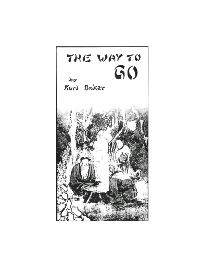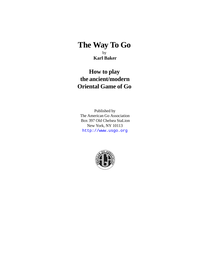# **The Way To Go** by  **Karl Baker**

# **How to play the ancient/modern Oriental Game of Go**

Published by The American Go Association Box 397 Old Chelsea StaLion New York, NY 10113 <http://www.usgo.org>

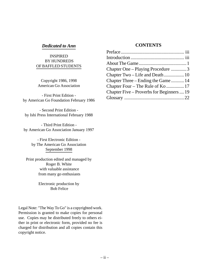### *Dedicated to Ann*

#### INSPIRED BY HUNDREDS OF BAFFLED STUDENTS

Copyright 1986, 1998 American Go Association

- First Print Edition by American Go Foundation February 1986

- Second Print Edition by Ishi Press International February 1988

- Third Print Edition by American Go Association January 1997

> - First Electronic Edition by The American Go Association September 1998

Print production edited and managed by Roger B. White with valuable assistance from many go enthusiasts

> Electronic production by Bob Felice

Legal Note: "The Way To Go" is a copyrighted work. Permission is granted to make copies for personal use. Copies may be distributed freely to others either in print or electronic form, provided no fee is charged for distribution and all copies contain this copyright notice.

### **CONTENTS**

| Chapter One – Playing Procedure 3         |  |
|-------------------------------------------|--|
| Chapter Two – Life and Death 10           |  |
| Chapter Three – Ending the Game  14       |  |
| Chapter Four – The Rule of Ko  17         |  |
| Chapter Five – Proverbs for Beginners  19 |  |
|                                           |  |
|                                           |  |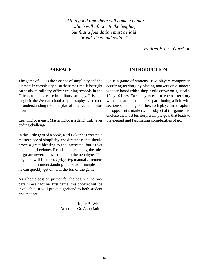*"All in good time there will come a climax which will lift one to the heights, but first a foundation must be laid, broad, deep and solid..."*

*Winfred Ernest Garrison*

### **PREFACE**

The game of GO is the essence of simplicity and the ultimate in complexity all at the same time. It is taught earnestly at military officer training schools in the Orient, as an exercise in military strategy. It is also taught in the West at schools of philosophy as a means of understanding the interplay of intellect and intuition.

Learning go is easy. Mastering go is a delightful, never ending challenge.

In this little gem of a book, Karl Baker has created a masterpiece of simplicity and directness that should prove a great blessing to the interested, but as yet uninitiated, beginner. For all their simplicity, the rules of go are nevertheless strange to the neophyte. The beginner will fin this step-by-step manual a tremendous help in understanding the basic principles, so he can quickly get on with the fun of the game.

As a home session primer for the beginner to prepare himself for his first game, this booklet will be invaluable. It will prove a godsend to both student and teacher.

> Roger B. White American Go Association

# **INTRODUCTION**

Go is a game of strategy. Two players compete in acquiring territory by placing markers on a smooth wooden board with a simple grid drawn on it, usually 19 by 19 lines. Each player seeks to enclose territory with his markers, much like partitioning a field with sections of fencing. Further, each player may capture his opponent's markers. The object of the game is to enclose the most territory, a simple goal that leads to the elegant and fascinating complexities of go.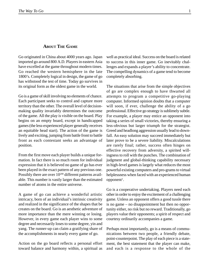#### **ABOUT THE GAME**

Go originated in China about 4000 years ago. Japan imported go around 800 A.D. Players in eastern Asia have excelled at the game throughout modern times. Go reached the western hemisphere in the late 1800's. Completely logical in design, the game of go has withstood the test of time. Today go survives in its original form as the oldest game in the world.

Go is a game of skill involving no elements of chance. Each participant seeks to control and capture more territory than the other. The overall level of decisionmaking quality invariably determines the outcome of the game. All the play is visible on the board. Play begins on an empty board, except in handicapped games (the less-experienced player generally receives an equitable head start). The action of the game is lively and exciting, jumping from battle front to battle front as each contestant seeks an advantage of position.

From the first move each player builds a unique formation. In fact there is so much room for individual expression that it is believed no game of go has ever been played in the exact pattern of any previous one. Possibly there are over  $10^{200}$  different patterns available. This number is vastly larger than the estimated number of atoms in the entire universe.

A game of go can achieve a wonderful artistic intricacy, born of an individual's intrinsic creativity and realized in the significance of the shapes that be creates on the board. Go is an aesthetic adventure of more importance than the mere winning or losing. However, in every game each player wins to some degree and necessarily loses to some degree, yin and yang. The runner-up can claim a gratifying share of the accomplishments in nearly every game of go.

Action on the go board reflects a personal effort toward balance and harmony within, a spiritual as

well as practical ideal. Success on the board is related to success in this inner game. Go inevitably challenges and expands a player's ability to concentrate. The compelling dynamics of a game tend to become completely absorbing.

The situations that arise from the simple objectives of go are complex enough to have thwarted all attempts to program a competitive go-playing computer. Informed opinion doubts that a computer will soon, if ever, challenge the ability of a go professional. Effective go strategy is sublimely subtle. For example, a player may entice an opponent into taking a series of small victories, thereby ensuring a less-obvious but larger triumph for the strategist. Greed and headlong aggression usually lead to downfall. An easy solution may succeed immediately but later prove to be a severe liability. Miscalculations are rarely final; rather, success often hinges on effective recovery from adversity, a spirited willingness to roll with the punches. The combination of judgment and global-thinking capability necessary in high-level games is largely what reduces the most powerful existing computers and pro-grams to virtual helplessness when faced with an experienced human  $opponent<sup>1</sup>$ .

Go is a cooperative undertaking. Players need each other in order to enjoy the excitement of a challenging game. Unless an opponent offers a good tussle there is no game – no disappointment but then no opportunity either, no risk but no reward. Traditionally, go players value their opponents; a spirit of respect and courtesy ordinarily accompanies a game.

Perhaps most importantly, go is a means of communications between two people, a friendly debate, point-counterpoint. The play of each piece is a statement, the best statement that the player can make, and each is a response to the whole of the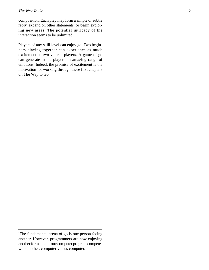composition. Each play may form a simple or subtle reply, expand on other statements, or begin exploring new areas. The potential intricacy of the interaction seems to be unlimited.

Players of any skill level can enjoy go. Two beginners playing together can experience as much excitement as two veteran players. A game of go can generate in the players an amazing range of emotions. Indeed, the promise of excitement is the motivation for working through these first chapters on The Way to Go.

<sup>&</sup>lt;sup>1</sup>The fundamental arena of go is one person facing another. However, programmers are now enjoying another form of go – one computer program competes with another, computer versus computer.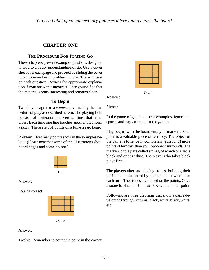*"Go is a ballet of complementary patterns intertwining across the board"*

# **CHAPTER ONE**

# **THE PROCEDURE FOR PLAYING GO**

These chapters present example-questions designed to lead to an easy understanding of go. Use a cover sheet over each page and proceed by sliding the cover down to reveal each problem in turn. Try your best on each question. Review the appropriate explanation if your answer is incorrect. Pace yourself so that the material seems interesting and remains clear.

# **To Begin**

Two players agree to a *contest* governed by the procedure of play as described herein. The playing field consists of horizontal and vertical lines that crisscross. Each time one line touches another they form a *point.* There are 361 points on a full-size go board.

Problem: How many points show in the examples below? (Please note that some of the illustrations show board edges and some do not.)



*Dia. I*

Answer:

Four is correct.



*Dia. 2*

### Answer:

Twelve. Remember to count the point in the corner.



*Dia. 3*

Sixteen.

Answer:

In the game of go, as in these examples, ignore the spaces and pay attention to the *points.*

Play begins with the board empty of markers. Each point is a valuable piece of territory. The object of the game is to fence in completely (surround) more points of territory than your opponent surrounds. The markers of play are called *stones,* of which one set is black and one is white. The player who takes black plays first.

The players alternate placing stones, building their positions on the board by placing one new stone at each turn. The stones are placed on the points. Once a stone is placed it is *never moved* to another point.

Following are three diagrams that show a game developing through six turns: black, white, black, white, etc.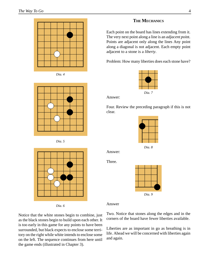









*Dia. 6*

#### **THE MECHANICS**

Each point on the board has lines extending from it. The very next point along a line is an *adjacent poi*nt. Points are adjacent only along the lines Any point along a diagonal is not adjacent. Each empty point adjacent to a stone is a *liberty*.

Problem: How many liberties does each stone have?



Answer:

Four. Review the preceding paragraph if this is not clear.



*Dia. 8*

Three.

Answer:



Answer

Notice that the white stones begin to combine, just as the black stones begin to build upon each other. It is too early in this game for any points to have been surrounded, but black expects to enclose some territory on the right while white intends to enclose some on the left. The sequence continues from here until the game ends (illustrated in Chapter 3).

Two. Notice that stones along the edges and in the corners of the board have fewer liberties available.

Liberties are as important in go as breathing is in life. Ahead we will be concerned with liberties again and again.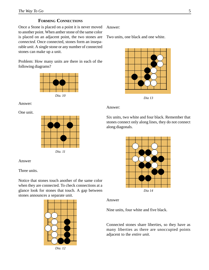### **FORMING CONNECTIONS**

Once a Stone is placed on a point it is never moved to another point. When anther stone of the same color is placed on an adjacent point, the two stones are *connected*. Once connected, stones form an inseparable *unit*. A single stone or any number of connected stones can make up a unit.

Problem: How many units are there in each of the following diagrams?



Answer:

One unit.



Answer

Three units.

Notice that stones touch another of the same color when they are connected. To check connections at a glance look for stones that touch. A gap between stones announces a separate unit.



*Dia. 12*

Answer:

Two units, one black and one white.



*Dia 13*

#### Answer:

Six units, two white and four black. Remember that stones connect only along lines, they do not connect along diagonals.



Answer

Nine units, four white and five black.

Connected stones share liberties, so they have as many liberties as there are unoccupied points adjacent to the *entire unit*.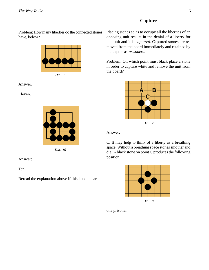# **Capture**

Problem: How many liberties do the connected stones have, below?





Answer.

Eleven.



*Dia. 16*

Answer:

Ten.

Reread the explanation above if this is not clear.

Placing stones so as to occupy all the liberties of an opposing unit results in the denial of a liberty for that unit and it is *captured*. Captured stones are removed from the board immediately and retained by the captor as *prisoners*.

Problem: On which point must black place a stone in order to capture white and remove the unit from the board?



Answer:

C. It may help to think of a liberty as a breathing space. Without a breathing space stones smother and die. A black stone on point C produces the following position:



*Dia. 18*

one prisoner.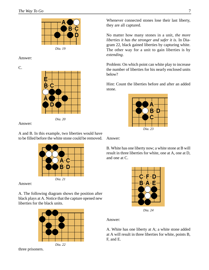

Answer:

C.





Answer:

A and B. In this example, two liberties would have to be filled before the white stone could be removed.



Answer:

A. The following diagram shows the position after black plays at A. Notice that the capture opened new liberties for the black units.



*Dia. 22*

three prisoners.

Whenever connected stones lose their last liberty, they are all captured.

No matter how many stones in a unit, *the more liberties it has the stronger and safer it is*. In Diagram 22, black gained liberties by capturing white. The other way for a unit to gain liberties is by *extending*.

Problem: On which point can white play to increase the number of liberties for his nearly enclosed units below?

Hint: Count the liberties before and after an added stone.



Answer:

B. White has one liberty now; a white stone at B will result in three liberties for white, one at A, one at D, and one at C.



*Dia. 24*

Answer:

A. White has one liberty at A; a white stone added at A will result in three liberties for white, points B, F, and E.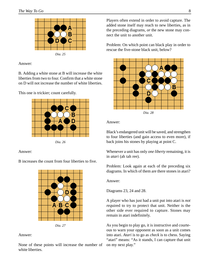

Answer:

B. Adding a white stone at B will increase the white liberties from two to four. Confirm that a white stone on D will not increase the number of white liberties.

This one is trickier; count carefully.



*Dia. 26*

#### Answer:

B increases the count from four liberties to five.



*Dia. 27*

Answer:

None of these points will increase the number of white liberties.

Players often extend in order to avoid capture. The added stone itself may reach to new liberties, as in the preceding diagrams, *or* the new stone may connect the unit to another unit.

Problem: On which point can black play in order to rescue the five-stone black unit, below?



Answer:

Black's endangered unit will be saved, and strengthen to four liberties (and gain access to even more), if back joins his stones by playing at point C.

Whenever a unit has only *one liberty* remaining, it is in *atari* (ah tah ree).

Problem: Look again at each of the preceding six diagrams. In which of them are there stones in atari?

Answer:

Diagrams 23, 24 and 28.

A player who has just had a unit put into atari is *not req*uired to try to protect that unit. Neither is the other side ever required to capture. Stones may remain in atari indefinitely.

As you begin to play go, it is instructive and courteous to warn your opponent as soon as a unit comes into atari. *Atari* is to go as *check* is to chess. Saying "atari" means: "As it stands, I can capture that unit on my next play."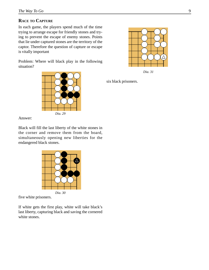### **RACE TO CAPTURE**

In each game, the players spend much of the time trying to arrange escape for friendly stones and trying to prevent the escape of enemy stones. Points that lie under captured stones are the territory of the captor. Therefore the question of capture or escape is vitally important

Problem: Where will black play in the following situation?



Δ *Dia. 31*

six black prisoners.

Answer:

Black will fill the last liberty of the white stones in the corner and remove them from the board, simultaneously opening new liberties for the endangered black stones.



five white prisoners.

If white gets the first play, white will take black's last liberty, capturing black and saving the cornered white stones.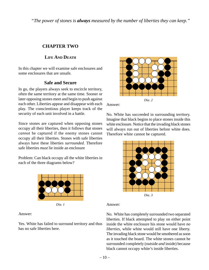*"The power of stones is always measured by the number of liberties they can keep."*

# **CHAPTER TWO**

# **LIFE AND DEATH**

In this chapter we will examine safe enclosures and some enclosures that are unsafe.

# **Safe and Secure**

In go, the players always seek to encircle territory, often the same territory at the same time. Sooner or later opposing stones meet and begin to push against each other. Liberties appear and disappear with each play. The conscientious player keeps track of the security of each unit involved in a battle.

Since stones are captured when opposing stones occupy all their liberties, then it follows that stones *cannot* he captured if the enemy stones cannot occupy all their liberties. Stones with safe liberties always have these liberties *surrounded*. Therefore safe liberties *must* lie inside an enclosure

Problem: Can black occupy all the white liberties in each of the three diagrams below?



*Dia. 1*

Answer:

Yes. White has failed to surround territory and thus has no safe liberties here.



Answer:

No. White has succeeded in surrounding territory. Imagine that black begins to place stones inside this white enclosure. Notice that the invading black stones will always run out of liberties before white does. Therefore white cannot be captured.



Answer:

No. White has completely surrounded two separated liberties. If black attempted to play on either point inside the white enclosure his stone would have *no liberties,* while white would still have one liberty. The invading black stone would be smothered as soon as it touched the board. The white stones cannot he surrounded completely (outside *and* inside) because black cannot occupy white's inside liberties.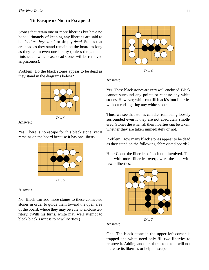# **To Escape or Not to Escape...!**

Stones that retain one or more liberties but have no hope ultimately of keeping any liberties are said to be *dead as they stand,* or simply *dead.* Stones that are dead as they stand remain on the board as long as they retain even one liberty (unless the game is finished, in which case dead stones will be removed as prisoners).

Problem: Do the black stones appear to be dead as they stand in the diagrams below?



#### Answer:

Yes. There is no escape for this black stone, yet it remains on the board because it has one liberty.



Answer:

No. Black can add more stones to these connected stones in order to guide them toward the open area of the board, where they may be able to enclose territory. (With his turns, white may well attempt to block black's access to new liberties.) *Dia. 7*



*Dia. 6*

### Answer:

Yes. These black stones are very well enclosed. Black cannot surround any points or capture any white stones. However, white can fill black's four liberties without endangering any white stones.

Thus, we see that stones can die from being loosely surrounded even if they are not absolutely smothered. Stones die when all their liberties *can* be taken, whether they are taken immediately or not.

Problem: How many black stones appear to be dead as they stand on the following abbreviated boards?

Hint: Count the liberties of each unit involved. The one with more liberties overpowers the one with fewer liberties.



Answer:

One. The black stone in the upper left corner is trapped and white need only fill two liberties to remove it. Adding another black stone to it will not increase its liberties or help it escape.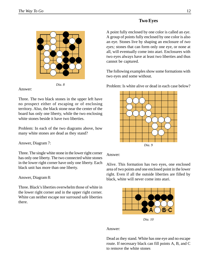### **Two Eyes**



The following examples show some formations with two eyes and some without.

Problem: Is white alive or dead in each case below?



Answer:

Alive. This formation has two eyes, one enclosed area of two points *and* one enclosed point in the lower right. Even if all the outside liberties are filled by black, white will never come into atari.



*Dia. 10*

Answer:

Dead as they stand. White has one eye and no escape route. If necessary black can fill points A, B, and C to remove the white stones



*Dia. 8*

#### Answer:

Three. The two black stones in the upper left have no prospect either of escaping or of enclosing territory. Also, the black stone near the center of the board has only one liberty, while the two enclosing white stones beside it have two liberties.

Problem: In each of the two diagrams above, how many white stones are dead as they stand?

Answer, Diagram 7:

Three. The single white stone in the lower right corner has only one liberty. The two connected white stones in the lower right corner have only one liberty. Each black unit has more than one liberty.

Answer, Diagram 8:

Three. Black's liberties overwhelm those of white in the lower right corner and in the upper right corner. White can neither escape nor surround safe liberties there.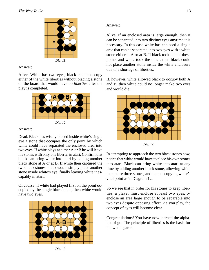

#### Answer:

Alive. White has two eyes; black cannot occupy either of the white liberties without placing a stone on the board that would have *no liberties* after the play is completed.



Answer:

Dead. Black has wisely placed inside white's single eye a stone that occupies the only point by which white could have separated the enclosed area into two eyes. If white plays at either A or B he will leave his stones with only one liberty, in atari. Confirm that black can bring white into atari by adding another black stone at A or at B. If white then captured the two black stones, black would simply place another stone inside white's eye, finally leaving white inescapably in atari.

Of course, if white had played first on the point occupied by the single black stone, then white would have two eyes.



*Dia. 13*

#### Answer:

Alive. If an enclosed area is large enough, then it can be separated into two distinct eyes anytime it is necessary. In this case white has enclosed a single area that can be separated into two eyes with a white stone either at A or at B. If black took one of these points and white took the other, then black could not place another stone inside the white enclosure due to a shortage of liberties.

If, however, white allowed black to occupy both A and B, then white could no longer make two eyes and would die:



*Dia. 14*

In attempting to approach the two black stones now, notice that white would have to place his own stones into atari. Black can bring white into atari at any time by adding another black stone, allowing white to capture three stones, and then occupying white's vital point as in Diagram 12.

So we see that in order for his stones to keep liberties, a player must enclose at least two eyes, *or* enclose an area large enough to be separable into two eyes despite opposing effort. As you play, the concept of eyes will become clear.

Congratulations! You have now learned the alphabet of go. The principle of liberties is the basis for the whole game.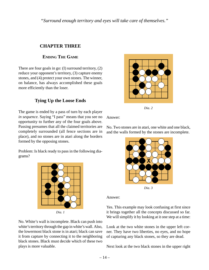*"Surround enough territory and eyes will take care of themselves."*

# **CHAPTER THREE**

# **ENDING THE GAME**

There are four goals in go: (I) surround territory, (2) reduce your opponent's territory, (3) capture enemy stones, and (4) protect your own stones. The winner, on balance, has always accomplished these goals more efficiently than the loser.

# **Tying Up the Loose Ends**

The game is ended by a pass of turn by each player *in sequence.* Saying "I pass" means that you see no opportunity to further any of the four goals above. Passing presumes that all the claimed territories are completely surrounded (all fence sections are in place), and no stones are in atari along the borders formed by the opposing stones.

Problem: Is black ready to pass in the following diagrams?



*Dia. 1*

No. White's wall is incomplete. Black can push into white's territory through the gap in white's wall. Also, the lowermost black stone is in atari; black can save it from capture by connecting it to the neighboring black stones. Black must decide which of these two plays is more valuable.



*Dia. 2*

Answer:

No. Two stones are in atari, one white and one black, and the walls formed by the stones are incomplete.



*Dia. 3*

Answer:

Yes. This example may look confusing at first since it brings together all the concepts discussed so far. We will simplify it by looking at it one step at a time:

Look at the two white stones in the upper left corner. They have two liberties, no eyes, and no hope of capturing any black stones, so they are dead.

Next look at the two black stones in the upper right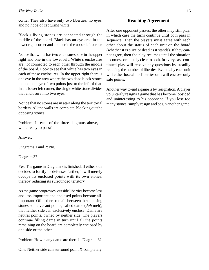corner They also have only two liberties, no eyes, and no hope of capturing white.

Black's living stones are connected through the middle of the board. Black has an eye area in the lower right corner and another in the upper left corner.

Notice that white has two enclosures, one in the upper right and one in the lower left. White's enclosures are *not* connected to each other through the middle of the board. Look to see that white has two eyes in each of these enclosures. In the upper right there is one eye in the area where the two dead black stones lie and one eye of two points just to the left of that. In the lower left corner, the single white stone divides that enclosure into two eyes.

Notice that no stones are in atari along the territorial borders. All the walls are complete, blocking out the opposing stones.

Problem: In each of the three diagrams above, is white ready to pass?

Answer:

Diagrams 1 and 2: No.

Diagram 3?

Yes. The game in Diagram 3 is finished. If either side decides to fortify its defenses further, it will merely occupy its enclosed points with its own stones, thereby reducing its surrounded territory.

As the game progresses, outside liberties become less and less important and enclosed points become allimportant. Often there remain between the opposing stones some vacant points, called dame (*dah* meh), that neither side can exclusively enclose. Dame are neutral points, owned by neither side. The players continue filling dame in turn until all the points remaining on the board are completely enclosed by one side or the other.

Problem: How many dame are there in Diagram 3?

One. Neither side can surround point X completely.

#### **Reaching Agreement**

After one opponent passes, the other may still play, in which case the turns continue until both pass in sequence. Then the players must agree with each other about the status of each unit on the board (whether it is alive or dead as it stands). If they cannot agree, then the play resumes until the situation becomes completely clear to both. In every case continued play will resolve any questions by steadily reducing the number of liberties. Eventually each unit will either lose all its liberties or it will enclose only safe points.

Another way to end a game is by resignation. A player voluntarily resigns a game that has become lopsided and uninteresting to his opponent. If you lose too many stones, simply resign and begin another game.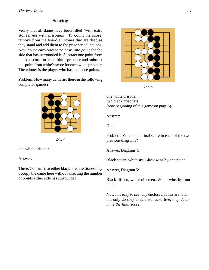### **Scoring**

Verify that all dame have been filled (with extra stones, *not* with prisoners). To count the score, remove from the board all stones that are dead as they stand and add them to the prisoner collections. Now count each vacant point as *one point* for the side that has surrounded it. Subtract one point from black's score for each black prisoner and subtract one point from white's score for each white prisoner. The winner is the player who has the more points.

Problem: How many dame are there in the following completed games?



*Dia. 4*

one white prisoner.

Answer:

Three. Confirm that either black or white stones may occupy the dame here without affecting the number of points either side has surrounded.



*Dia. 5*

one white prisoner. two black prisoners. (note beginning of this game on page 5)

Answer:

One.

Problem: What is the final score in each of the two previous diagrams?

Answer, Diagram 4:

Black seven, white six. Black wins by one point.

Answer, Diagram 5:

Black fifteen, white nineteen. White wins by four points.

Now it is easy to see why enclosed points are vital – not only do they enable stones to live, *they determine the final score.*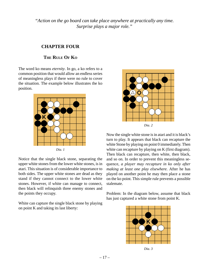*"Action on the go board can take place anywhere at practically any time. Surprise plays a major role."*

# **CHAPTER FOUR**

### **THE RULE OF KO**

The word ko means *eternity*. In go, a ko refers to a common position that would allow an endless series of meaningless plays if there were no rule to cover the situation. The example below illustrates the ko position.



Notice that the single black stone, separating the upper white stones from the lower white stones, is in atari. This situation is of considerable importance to both sides. The upper white stones are dead as they stand if they cannot connect to the lower white stones. However, if white can manage to connect, then black will relinquish three enemy stones and the points they occupy.

White can capture the single black stone by playing on point K and taking its last liberty:



Now the single white stone is in atari and it is black's turn to play. It appears that black can recapture the white Stone by playing on point 0 immediately. Then white can recapture by playing on K (first diagram). Then black can recapture, then white, then black, and so on. In order to prevent this meaningless sequence, *a player may recapture in ko only after making at least one play elsewhere.* After he has played on another point he may then place a stone on the ko point. This simple rule prevents a possible stalemate.

Problem: In the diagram below, assume that black has just captured a white stone from point K.



*Dia. 3*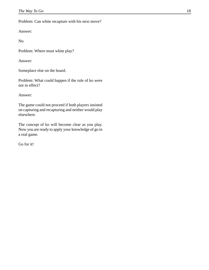Problem: Can white recapture with his next move?

Answer:

No.

Problem: Where must white play?

Answer:

Someplace else on the board.

Problem: What could happen if the rule of ko were not in effect?

Answer:

The game could not proceed if both players insisted on capturing and recapturing and neither would play elsewhere.

The concept of ko will become clear as you play. Now you are ready to apply your knowledge of go in a real game.

Go for it!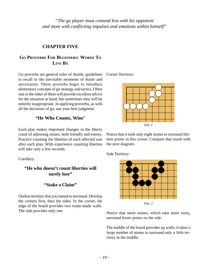*"The go player must contend less with his opponent and more with conflicting impulses and emotions within himself"*

## **CHAPTER FIVE**

# **GO PROVERBS FOR BEGINNERS: WORDS TO LIVE BY**

Go proverbs are general rules of thumb, guidelines to recall in the inevitable moments of doubt and uncertainty. These proverbs begin to introduce elementary concepts of go strategy and tactics. Often one or the other of them will provide excellent advice for the situation at hand, but sometimes they will be entirely inappropriate. In applying proverbs, as with all the decisions of go, use your best judgment.

### **"He Who Counts, Wins**"

Each play makes important changes in the liberty count of adjoining stones, both friendly and enemy. Practice counting the liberties of each affected unit after each play. With experience counting liberties will take only a few seconds.

Corollary:

# **"He who doesn't count liberties will surely lose"**

### **"Stake a Claim"**

Outline territory that you intend to surround. Develop the corners first, then the sides. In the corner, the edge of the board provides two ready-made walls. The side provides only one.

Corner Territory:



Notice that it took only eight stones to surround thirteen points in this corner. Compare that result with the next diagram.

Side Territory:



Notice that more stones, which take more turns, surround fewer points on the side.

The middle of the hoard provides no walls; it takes a *large* number of stones to surround only *a little* territory in the middle.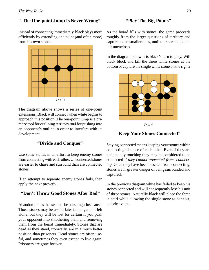# **"The One-point Jump Is Never Wrong"**

Instead of connecting immediately, black plays more efficiently by extending one point (and often more) from his own stones.



The diagram above shows a series of one-point extensions. Black will connect when white begins to approach this position. The one-point jump is a primary tool for outlining territory *and* for pushing into an opponent's outline in order to interfere with its development.

### **"Divide and Conquer"**

Use some stones in an effort to keep enemy stones from connecting with each other. Unconnected stones are easier to chase and surround than are connected stones.

If an attempt to separate enemy stones fails, then apply the next proverb.

### **"Don't Throw Good Stones After Bad"**

Abandon stones that seem to be pursuing a lost cause. Those stones may be useful later in the game if left alone, but they will be lost for certain if you push your opponent into smothering them and removing them from the beard immediately. Stones that are dead as they stand, ironically, are in a much better position than prisoners. Dead stones are often useful, and sometimes they even escape to live again. Prisoners are gone forever.

## **"Play The Big Points"**

As the board fills with stones, the game proceeds roughly from the larger questions of territory and capture to the smaller ones, until there are no points left unenclosed.

In the diagram below it is black's turn to play. Will black block and kill the three white stones at the bottom or capture the single white stone on the right?





### **"Keep Your Stones Connected"**

Staying connected means keeping your stones within connecting distance of each other. Even if they are not actually touching they may be considered to be connected *if they cannot prevented from connecting.* Once they have been blocked from connecting, stones are in greater danger of being surrounded and captured.

In the previous diagram white has failed to keep his stones connected and will consequently lose his unit of three stones. Naturally black will place the three in atari while allowing the single stone to connect, not vice versa.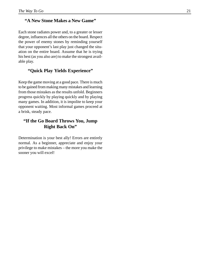### **"A New Stone Makes a New Game"**

Each stone radiates power and, to a greater or lesser degree, influences all the others on the board. Respect the power of enemy stones by reminding yourself that your opponent's last play just changed the situation on the entire board. Assume that he is trying his best (as you also are) to make the strongest available play.

# **"Quick Play Yields Experience"**

Keep the game moving at a good pace. There is much to be gained from making many mistakes and learning from those mistakes as the results unfold. Beginners progress quickly by playing quickly and by playing many games. In addition, it is impolite to keep your opponent waiting. Most informal games proceed at a brisk, steady pace.

# **"If the Go Board Throws You, Jump Right Back On"**

Determination is your best ally! Errors are entirely normal. As a beginner, appreciate and enjoy your privilege to make mistakes – the more you make the sooner you will excel!